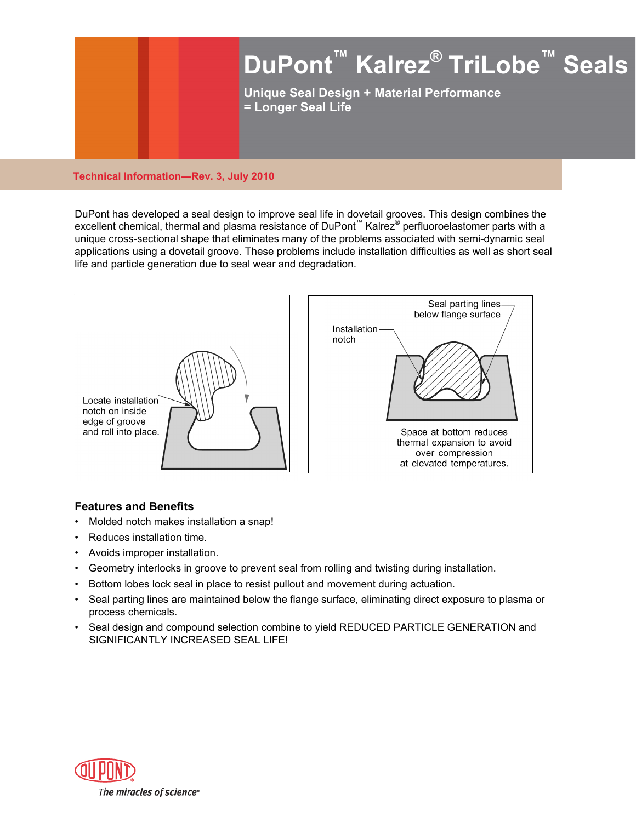

#### **Technical Information—Rev. 3, July 2010**

DuPont has developed a seal design to improve seal life in dovetail grooves. This design combines the excellent chemical, thermal and plasma resistance of DuPont™ Kalrez® perfluoroelastomer parts with a unique cross-sectional shape that eliminates many of the problems associated with semi-dynamic seal applications using a dovetail groove. These problems include installation difficulties as well as short seal life and particle generation due to seal wear and degradation.



# **Features and Benefits**

- Molded notch makes installation a snap!
- Reduces installation time.
- Avoids improper installation.
- Geometry interlocks in groove to prevent seal from rolling and twisting during installation.
- Bottom lobes lock seal in place to resist pullout and movement during actuation.
- Seal parting lines are maintained below the flange surface, eliminating direct exposure to plasma or process chemicals.
- Seal design and compound selection combine to yield REDUCED PARTICLE GENERATION and SIGNIFICANTLY INCREASED SEAL LIFE!